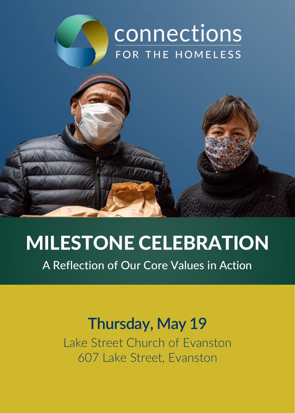

# MILESTONE CELEBRATION

A Reflection of Our Core Values in Action

# **Thursday, May 19**

Lake Street Church of Evanston 607 Lake Street, Evanston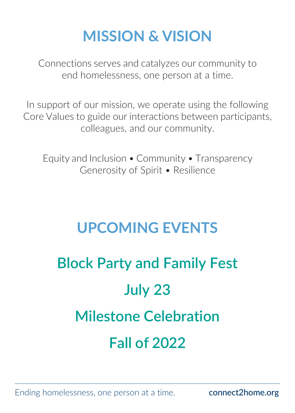# **MISSION & VISION**

Connections serves and catalyzes our community to end homelessness, one person at a time.

In support of our mission, we operate using the following Core Values to guide our interactions between participants, colleagues, and our community.

Equity and Inclusion • Community • Transparency Generosity of Spirit • Resilience

## **UPCOMING EVENTS**

# **Block Party and Family Fest July 23 Milestone Celebration Fall of 2022**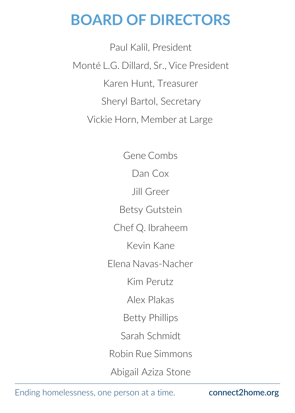## **BOARD OF DIRECTORS**

Paul Kalil, President Monté L.G. Dillard, Sr., Vice President Karen Hunt, Treasurer Sheryl Bartol, Secretary Vickie Horn, Member at Large

> Gene Combs Dan Cox Jill Greer Betsy Gutstein Chef Q. Ibraheem Kevin Kane Elena Navas-Nacher Kim Perutz Alex Plakas Betty Phillips Sarah Schmidt Robin Rue Simmons

Abigail Aziza Stone

Ending homelessness, one person at a time. connect2home.org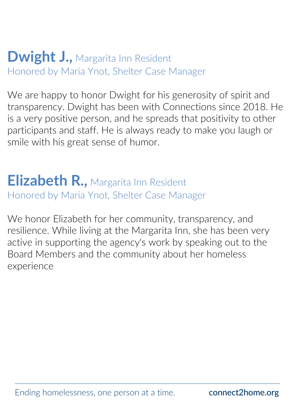#### **Dwight J., Margarita Inn Resident** Honored by Maria Ynot, Shelter Case Manager

We are happy to honor Dwight for his generosity of spirit and transparency. Dwight has been with Connections since 2018. He is a very positive person, and he spreads that positivity to other participants and staff. He is always ready to make you laugh or smile with his great sense of humor.

## **Elizabeth R.,** Margarita Inn Resident Honored by Maria Ynot, Shelter Case Manager

We honor Elizabeth for her community, transparency, and resilience. While living at the Margarita Inn, she has been very active in supporting the agency's work by speaking out to the Board Members and the community about her homeless experience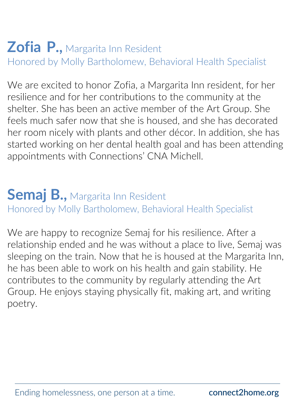## **Zofia P.,** Margarita Inn Resident Honored by Molly Bartholomew, Behavioral Health Specialist

We are excited to honor Zofia, a Margarita Inn resident, for her resilience and for her contributions to the community at the shelter. She has been an active member of the Art Group. She feels much safer now that she is housed, and she has decorated her room nicely with plants and other décor. In addition, she has started working on her dental health goal and has been attending appointments with Connections' CNA Michell.

### **Semaj B.,** Margarita Inn Resident Honored by Molly Bartholomew, Behavioral Health Specialist

We are happy to recognize Semaj for his resilience. After a relationship ended and he was without a place to live, Semaj was sleeping on the train. Now that he is housed at the Margarita Inn, he has been able to work on his health and gain stability. He contributes to the community by regularly attending the Art Group. He enjoys staying physically fit, making art, and writing poetry.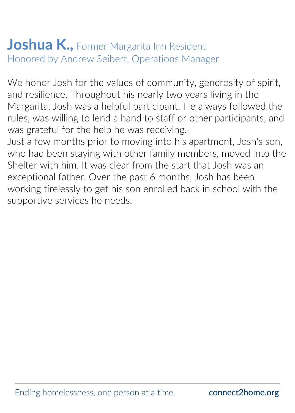## **Joshua K., Former Margarita Inn Resident** Honored by Andrew Seibert, Operations Manager

We honor Josh for the values of community, generosity of spirit, and resilience. Throughout his nearly two years living in the Margarita, Josh was a helpful participant. He always followed the rules, was willing to lend a hand to staff or other participants, and was grateful for the help he was receiving.

Just a few months prior to moving into his apartment, Josh's son, who had been staying with other family members, moved into the Shelter with him. It was clear from the start that Josh was an exceptional father. Over the past 6 months, Josh has been working tirelessly to get his son enrolled back in school with the supportive services he needs.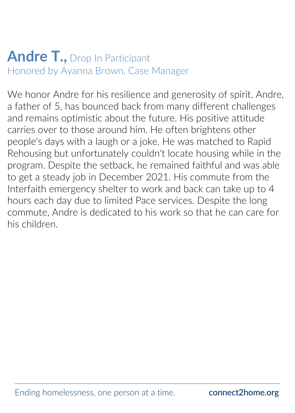## **Andre T.,** Drop In Participant Honored by Ayanna Brown, Case Manager

We honor Andre for his resilience and generosity of spirit. Andre, a father of 5, has bounced back from many different challenges and remains optimistic about the future. His positive attitude carries over to those around him. He often brightens other people's days with a laugh or a joke. He was matched to Rapid Rehousing but unfortunately couldn't locate housing while in the program. Despite the setback, he remained faithful and was able to get a steady job in December 2021. His commute from the Interfaith emergency shelter to work and back can take up to 4 hours each day due to limited Pace services. Despite the long commute, Andre is dedicated to his work so that he can care for his children.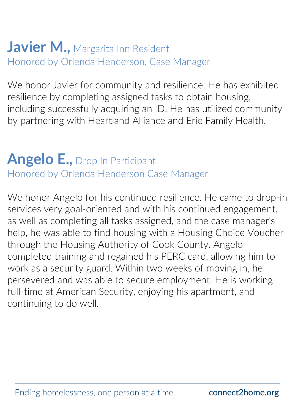## **Javier M., Margarita Inn Resident** Honored by Orlenda Henderson, Case Manager

We honor Javier for community and resilience. He has exhibited resilience by completing assigned tasks to obtain housing, including successfully acquiring an ID. He has utilized community by partnering with Heartland Alliance and Erie Family Health.

# **Angelo E.,** Drop In Participant

Honored by Orlenda Henderson Case Manager

We honor Angelo for his continued resilience. He came to drop-in services very goal-oriented and with his continued engagement, as well as completing all tasks assigned, and the case manager's help, he was able to find housing with a Housing Choice Voucher through the Housing Authority of Cook County. Angelo completed training and regained his PERC card, allowing him to work as a security guard. Within two weeks of moving in, he persevered and was able to secure employment. He is working full-time at American Security, enjoying his apartment, and continuing to do well.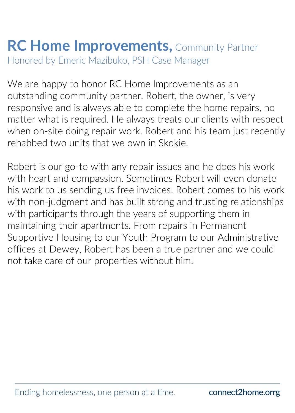## **RC Home Improvements,** Community Partner Honored by Emeric Mazibuko, PSH Case Manager

We are happy to honor RC Home Improvements as an outstanding community partner. Robert, the owner, is very responsive and is always able to complete the home repairs, no matter what is required. He always treats our clients with respect when on-site doing repair work. Robert and his team just recently rehabbed two units that we own in Skokie.

Robert is our go-to with any repair issues and he does his work with heart and compassion. Sometimes Robert will even donate his work to us sending us free invoices. Robert comes to his work with non-judgment and has built strong and trusting relationships with participants through the years of supporting them in maintaining their apartments. From repairs in Permanent Supportive Housing to our Youth Program to our Administrative offices at Dewey, Robert has been a true partner and we could not take care of our properties without him!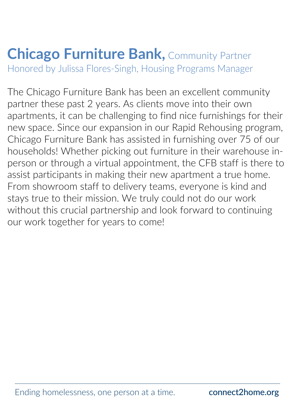#### **Chicago Furniture Bank, Community Partner** Honored by Julissa Flores-Singh, Housing Programs Manager

The Chicago Furniture Bank has been an excellent community partner these past 2 years. As clients move into their own apartments, it can be challenging to find nice furnishings for their new space. Since our expansion in our Rapid Rehousing program, Chicago Furniture Bank has assisted in furnishing over 75 of our households! Whether picking out furniture in their warehouse inperson or through a virtual appointment, the CFB staff is there to assist participants in making their new apartment a true home. From showroom staff to delivery teams, everyone is kind and stays true to their mission. We truly could not do our work without this crucial partnership and look forward to continuing our work together for years to come!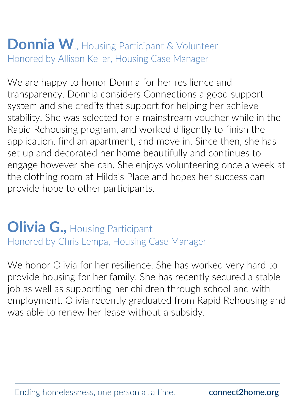## **Donnia W**., Housing Participant & Volunteer Honored by Allison Keller, Housing Case Manager

We are happy to honor Donnia for her resilience and transparency. Donnia considers Connections a good support system and she credits that support for helping her achieve stability. She was selected for a mainstream voucher while in the Rapid Rehousing program, and worked diligently to finish the application, find an apartment, and move in. Since then, she has set up and decorated her home beautifully and continues to engage however she can. She enjoys volunteering once a week at the clothing room at Hilda's Place and hopes her success can provide hope to other participants.

## **Olivia G., Housing Participant** Honored by Chris Lempa, Housing Case Manager

We honor Olivia for her resilience. She has worked very hard to provide housing for her family. She has recently secured a stable job as well as supporting her children through school and with employment. Olivia recently graduated from Rapid Rehousing and was able to renew her lease without a subsidy.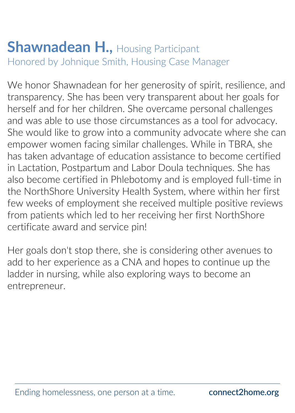#### **Shawnadean H., Housing Participant** Honored by Johnique Smith, Housing Case Manager

We honor Shawnadean for her generosity of spirit, resilience, and transparency. She has been very transparent about her goals for herself and for her children. She overcame personal challenges and was able to use those circumstances as a tool for advocacy. She would like to grow into a community advocate where she can empower women facing similar challenges. While in TBRA, she has taken advantage of education assistance to become certified in Lactation, Postpartum and Labor Doula techniques. She has also become certified in Phlebotomy and is employed full-time in the NorthShore University Health System, where within her first few weeks of employment she received multiple positive reviews from patients which led to her receiving her first NorthShore certificate award and service pin!

Her goals don't stop there, she is considering other avenues to add to her experience as a CNA and hopes to continue up the ladder in nursing, while also exploring ways to become an entrepreneur.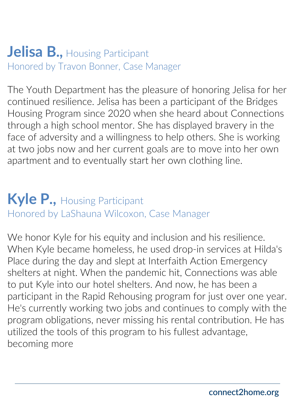#### **Jelisa B., Housing Participant** Honored by Travon Bonner, Case Manager

The Youth Department has the pleasure of honoring Jelisa for her continued resilience. Jelisa has been a participant of the Bridges Housing Program since 2020 when she heard about Connections through a high school mentor. She has displayed bravery in the face of adversity and a willingness to help others. She is working at two jobs now and her current goals are to move into her own apartment and to eventually start her own clothing line.

## **Kyle P.,** Housing Participant Honored by LaShauna Wilcoxon, Case Manager

We honor Kyle for his equity and inclusion and his resilience. When Kyle became homeless, he used drop-in services at Hilda's Place during the day and slept at Interfaith Action Emergency shelters at night. When the pandemic hit, Connections was able to put Kyle into our hotel shelters. And now, he has been a participant in the Rapid Rehousing program for just over one year. He's currently working two jobs and continues to comply with the program obligations, never missing his rental contribution. He has utilized the tools of this program to his fullest advantage, becoming more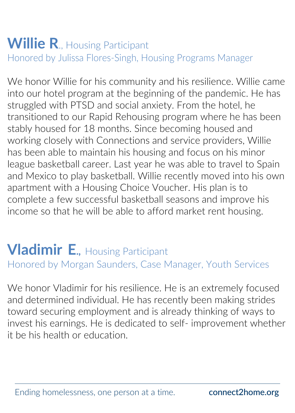## **Willie R., Housing Participant** Honored by Julissa Flores-Singh, Housing Programs Manager

We honor Willie for his community and his resilience. Willie came into our hotel program at the beginning of the pandemic. He has struggled with PTSD and social anxiety. From the hotel, he transitioned to our Rapid Rehousing program where he has been stably housed for 18 months. Since becoming housed and working closely with Connections and service providers, Willie has been able to maintain his housing and focus on his minor league basketball career. Last year he was able to travel to Spain and Mexico to play basketball. Willie recently moved into his own apartment with a Housing Choice Voucher. His plan is to complete a few successful basketball seasons and improve his income so that he will be able to afford market rent housing.

#### **Vladimir E.,** Housing Participant Honored by Morgan Saunders, Case Manager, Youth Services

We honor Vladimir for his resilience. He is an extremely focused and determined individual. He has recently been making strides toward securing employment and is already thinking of ways to invest his earnings. He is dedicated to self- improvement whether it be his health or education.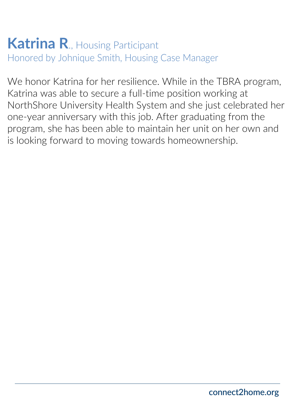#### **Katrina R**., Housing Participant Honored by Johnique Smith, Housing Case Manager

We honor Katrina for her resilience. While in the TBRA program, Katrina was able to secure a full-time position working at NorthShore University Health System and she just celebrated her one-year anniversary with this job. After graduating from the program, she has been able to maintain her unit on her own and is looking forward to moving towards homeownership.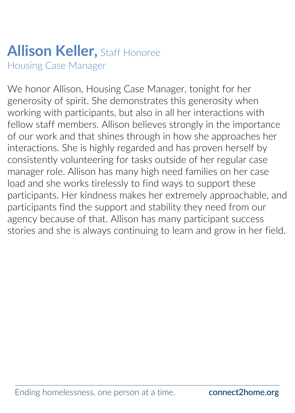# **Allison Keller,** Staff Honoree

Housing Case Manager

We honor Allison, Housing Case Manager, tonight for her generosity of spirit. She demonstrates this generosity when working with participants, but also in all her interactions with fellow staff members. Allison believes strongly in the importance of our work and that shines through in how she approaches her interactions. She is highly regarded and has proven herself by consistently volunteering for tasks outside of her regular case manager role. Allison has many high need families on her case load and she works tirelessly to find ways to support these participants. Her kindness makes her extremely approachable, and participants find the support and stability they need from our agency because of that. Allison has many participant success stories and she is always continuing to learn and grow in her field.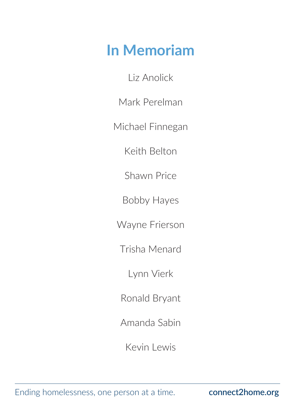## **In Memoriam**

Liz Anolick

Mark Perelman

Michael Finnegan

Keith Belton

Shawn Price

Bobby Hayes

Wayne Frierson

Trisha Menard

Lynn Vierk

Ronald Bryant

Amanda Sabin

Kevin Lewis